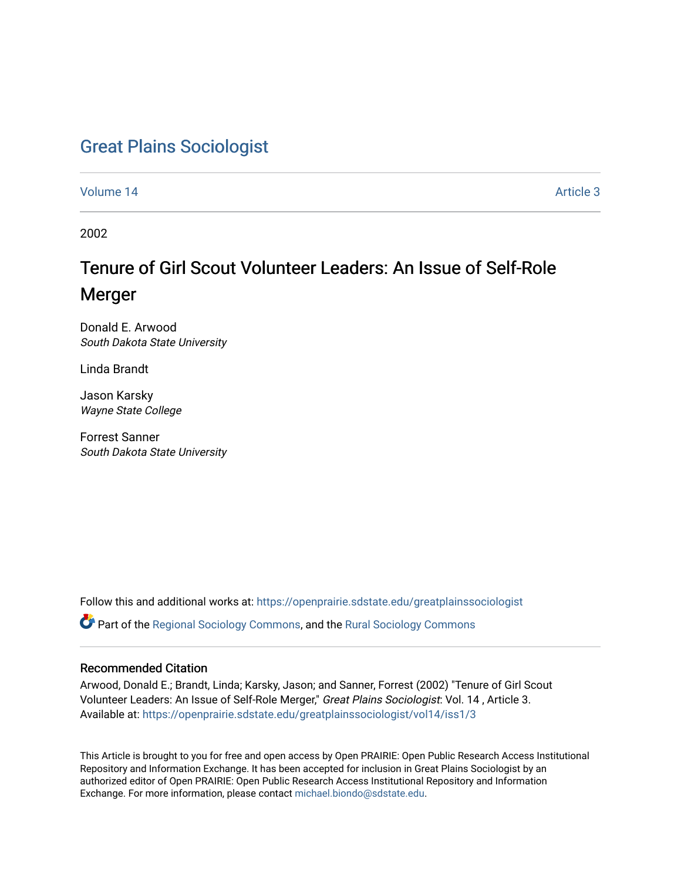# [Great Plains Sociologist](https://openprairie.sdstate.edu/greatplainssociologist)

[Volume 14](https://openprairie.sdstate.edu/greatplainssociologist/vol14) Article 3

2002

# Tenure of Girl Scout Volunteer Leaders: An Issue of Self-Role Merger

Donald E. Arwood South Dakota State University

Linda Brandt

Jason Karsky Wayne State College

Forrest Sanner South Dakota State University

Follow this and additional works at: [https://openprairie.sdstate.edu/greatplainssociologist](https://openprairie.sdstate.edu/greatplainssociologist?utm_source=openprairie.sdstate.edu%2Fgreatplainssociologist%2Fvol14%2Fiss1%2F3&utm_medium=PDF&utm_campaign=PDFCoverPages) 

Part of the [Regional Sociology Commons](http://network.bepress.com/hgg/discipline/427?utm_source=openprairie.sdstate.edu%2Fgreatplainssociologist%2Fvol14%2Fiss1%2F3&utm_medium=PDF&utm_campaign=PDFCoverPages), and the [Rural Sociology Commons](http://network.bepress.com/hgg/discipline/428?utm_source=openprairie.sdstate.edu%2Fgreatplainssociologist%2Fvol14%2Fiss1%2F3&utm_medium=PDF&utm_campaign=PDFCoverPages) 

#### Recommended Citation

Arwood, Donald E.; Brandt, Linda; Karsky, Jason; and Sanner, Forrest (2002) "Tenure of Girl Scout Volunteer Leaders: An Issue of Self-Role Merger," Great Plains Sociologist: Vol. 14 , Article 3. Available at: [https://openprairie.sdstate.edu/greatplainssociologist/vol14/iss1/3](https://openprairie.sdstate.edu/greatplainssociologist/vol14/iss1/3?utm_source=openprairie.sdstate.edu%2Fgreatplainssociologist%2Fvol14%2Fiss1%2F3&utm_medium=PDF&utm_campaign=PDFCoverPages)

This Article is brought to you for free and open access by Open PRAIRIE: Open Public Research Access Institutional Repository and Information Exchange. It has been accepted for inclusion in Great Plains Sociologist by an authorized editor of Open PRAIRIE: Open Public Research Access Institutional Repository and Information Exchange. For more information, please contact [michael.biondo@sdstate.edu.](mailto:michael.biondo@sdstate.edu)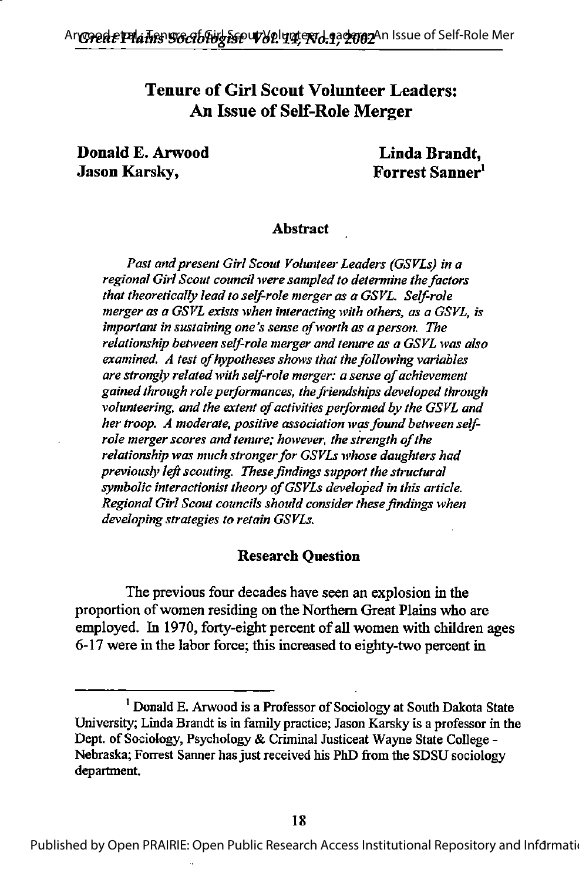# Tenure of Girl Scout Volunteer Leaders: An Issue of Self-Role Merger

Donald E. Arwood Linda Brandt, Jason Karsky, Forrest Sanner^

#### Abstract

Past and present Girl Scout Volunteer Leaders (GSVLs) in a regional Girl Scout council were sampled to determine the factors that theoretically lead to self-role merger as a GSVL. Self-role merger as a GSVL exists when interacting with others, as a GSVL, is important in sustaining one's sense of worth as a person. The relationship between self-role merger and tenure as a GSVL was also  $ext{examine}.$  A test of hypotheses shows that the following variables are strongly related with self-role merger: a sense of achievement gained through role performances, the friendships developed through volunteering, and the extent of activities performed by the GSVL and her troop. A moderate, positive association was found between selfrole merger scores and tenure; however, the strength of the relationship was much stronger for GSVLs whose daughters had previously left scouting. These findings support the structural symbolic interactionist theory of GSVLs developed in this article. Regional Girl Scout councils should consider these findings when developing strategies to retain GSVLs.

#### Research Question

The previous four decades have seen an explosion in the proportion ofwomen residing on the Northern Great Plains who are employed. In 1970, forty-eight percent of all women with children ages 6-17 were in the labor force; this increased to eighty-two percent in

Published by Open PRAIRIE: Open Public Research Access Institutional Repository and Informatio

<sup>&</sup>lt;sup>1</sup> Donald E. Arwood is a Professor of Sociology at South Dakota State University; Linda Brandt is in family practice; Jason Karsky is a professor in the Dept. of Sociology, Psychology & Criminal Justiceat Wayne State College -Nebraska; Forrest Sanner has just received his PhD from the SDSU sociology department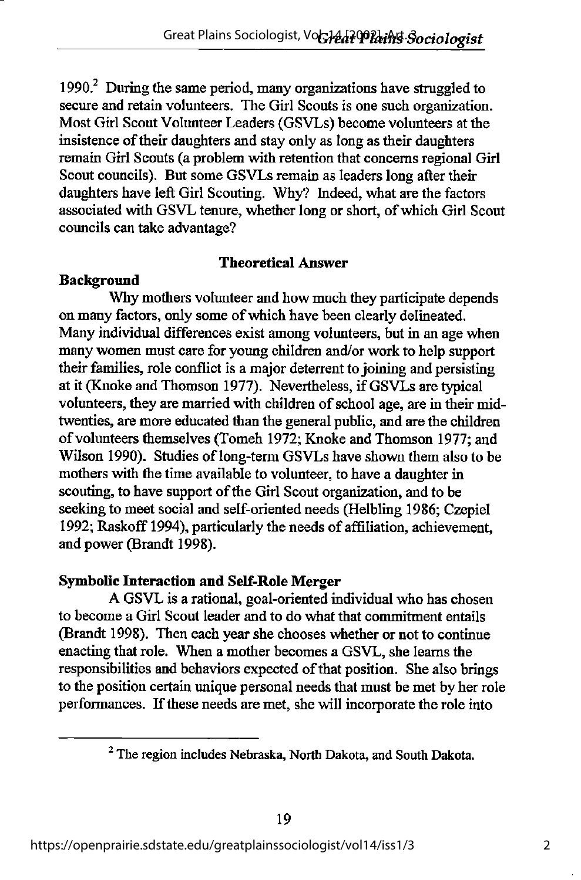1990. $^2$  During the same period, many organizations have struggled to secure and retain volunteers. The Girl Scouts is one such organization. Most Girl Scout Volunteer Leaders (GSVLs) become volimteers at the insistence of their daughters and stay only as long as their daughters remain Girl Scouts (a problem with retention that concems regional Girl Scout councils). But some GSVLs remain as leaders long after their daughters have left Girl Scouting. Why? Indeed, what are the factors associated with GSVL tenure, whether long or short, of which Girl Scout councils can take advantage?

### Theoretical Answer

## **Background**

Why mothers volunteer and how much they participate depends on many factors, only some ofwhich have been clearly delineated. Many individual differences exist among volunteers, but in an age when many women must care for young children and/or work to help support their families, role conflict is a major deterrent to joining and persisting at it (Knoke and Thomson 1977). Nevertheless, if GSVLs are typical volunteers, they are married with children of school age, are in their midtwenties, are more educated than the general public, and are the children of volunteers themselves (Tomeh 1972; Knoke and Thomson 1977; and Wilson 1990). Studies of long-term GSVLs have shown them also to be mothers with the time available to volunteer, to have a daughter in scouting, to have support of the Girl Scout organization, and to be seeking to meet social and self-oriented needs (Helbling 1986; Czepiel 1992; Raskoff 1994), particularly the needs of afftliation, achievement, and power (Brandt 1998).

### Symbolic Interaction and Self-Role Merger

A GSVL is a rational, goal-oriented individual who has chosen to become a Girl Scout leader and to do what that commitment entails (Brandt 1998). Then each year she chooses whether or not to continue enacting that role. When a mother becomes a GSVL, she learns the responsibilities and behaviors expected of that position. She also brings to the position certain unique personal needs that must be met by her role performances. Ifthese needs are met, she will incorporate the role into

 $2$  The region includes Nebraska, North Dakota, and South Dakota.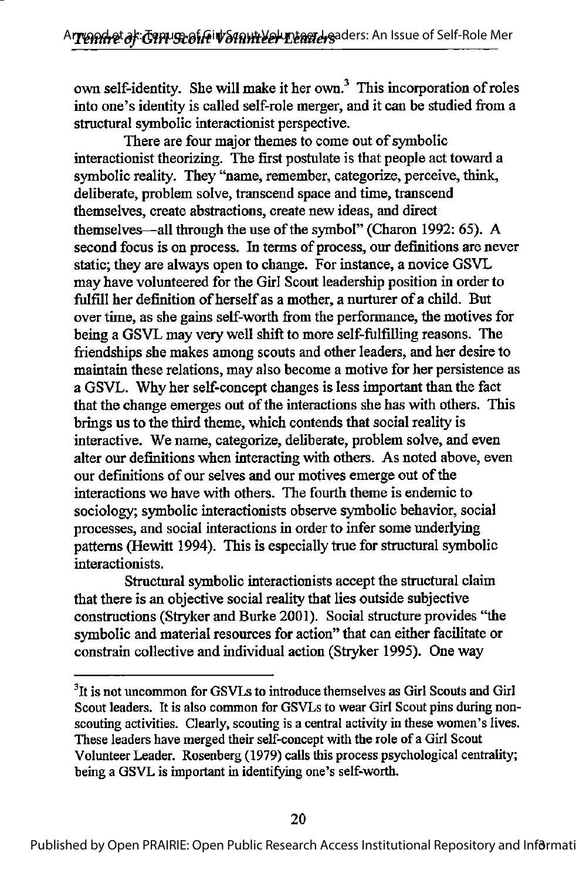own self-identity. She will make it her own.<sup>3</sup> This incorporation of roles into one's identity is called self-role merger, and it can be studied from a structural symbolic interactionist perspective.

There are four major themes to come out of symbolic interactionist theorizing. The first postulate is that people act toward a symbolic reality. They "name, remember, categorize, perceive, think, deliberate, problem solve, transcend space and time, transcend themselves, create abstractions, create new ideas, and direct themselves—all through the use of the symbol" (Charon 1992: 65). A second focus is on process. In terms of process, our definitions are never static; they are always open to change. For instance, a novice GSVL may have volunteered for the Girl Scout leadership position in order to fulfill her definition of herself as a mother, a nurturer of a child. But over time, as she gains self-worth from the performance, the motives for being a GSVL may very well shift to more self-fulfilling reasons. The friendships she makes among scouts and other leaders, and her desire to maintain these relations, may also become a motive for her persistence as a GSVL. Why her self-concept changes is less important than the fact that the change emerges out of the interactions she has with others. This brings us to the third theme, which contends that social reality is interactive. We name, categorize, deliberate, problem solve, and even alter our definitions when interacting with others. As noted above, even our definitions of our selves and our motives emerge out of the interactions we have with others. The fourth theme is endemic to sociology; symbolic interactionists observe symbolic behavior, social processes, and social interactions in order to infer some underlying patterns (Hewitt 1994). This is especially true for structural symbolic interactionists.

Structural symbolic interactionists accept the structural claim that there is an objective social reality that lies outside subjective constructions (Stryker and Burke 2001). Social structure provides "the symbolic and material resources for action" that can either facilitate or constrain collective and individual action (Stryker 1995). One way

<sup>&</sup>lt;sup>3</sup>It is not uncommon for GSVLs to introduce themselves as Girl Scouts and Girl Scout leaders. It is also common for GSVLs to wear Girl Scout pins during nonscouting activities. Clearly, scouting is a central activity in these women's lives. These leaders have merged their self-concept with the role of a Girl Scout Volunteer Leader. Rosenberg (1979) calls this process psychological centrality; being a GSVL is important in identifying one's self-worth.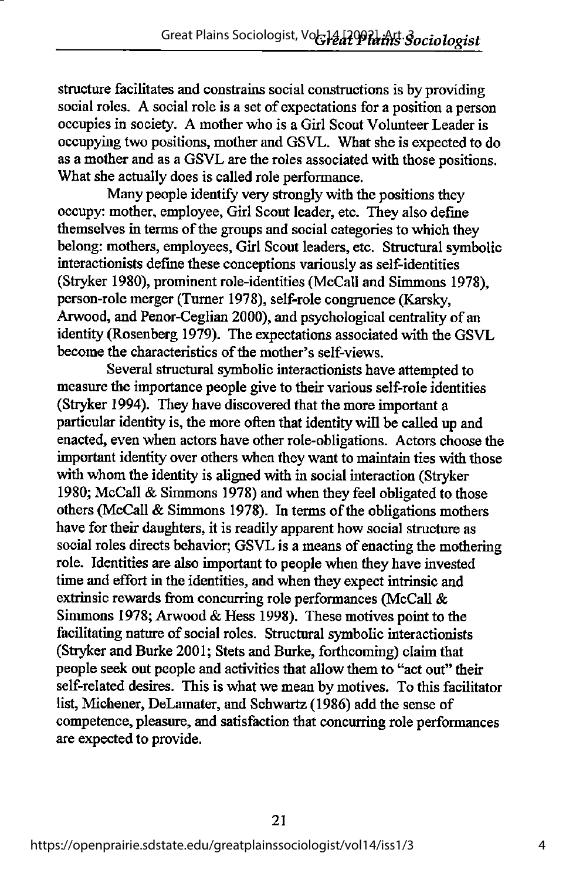structure facilitates and constrains social constructions is by providing social roles. A social role is a set of expectations for a position a person occupies in society. A mother who is a Girl Scout Volunteer Leader is occupying two positions, mother and GSVL. What she is expected to do as a mother and as a GSVL are the roles associated with those positions. What she actually does is called role performance.

Many people identify very strongly with the positions they occupy: mother, employee, Girl Scout leader, etc. They also define themselves in terms of the groups and social categories to which they belong: mothers, employees, Girl Scout leaders, etc. Structural symbolic interactionists define these conceptions variously as self-identities (Stryker 1980), prominent role-identities (McCall and Simmons 1978), person-role merger (Turner 1978), self-role congruence (Karsky, Arwood, and Penor-Ceglian 2000), and psychological centrality of an identity (Rosenberg 1979). The expectations associated with the GSVL become the characteristics of the mother's self-views.

Several structural symbolic interactionists have attempted to measure the importance people give to their various self-role identities (Stryker 1994). They have discovered that the more important a particular identity is, the more often that identity will be called up and enacted, even when actors have other role-obligations. Actors choose the important identity over others when they want to maintain ties with those with whom the identity is aligned with in social interaction (Stryker 1980; McCall & Simmons 1978) and when they feel obligated to those others (McCall  $&$  Simmons 1978). In terms of the obligations mothers have for their daughters, it is readily apparent how social structure as social roles directs behavior; GSVL is a means of enacting the mothering role. Identities are also important to people when they have invested time and effort in the identities, and when they expect intrinsic and extrinsic rewards from concurring role performances (McCall & Simmons 1978; Arwood & Hess 1998). These motives point to the facilitating nature of social roles. Structural symbolic interactionists (Stryker and Burke 2001; Stets and Burke, forthcoming) claim that people seek out people and activities that allow them to "act out" their self-related desires. This is what we mean by motives. To this facilitator list, Michener, DeLamater, and Schwartz (1986) add the sense of competence, pleasure, and satisfaction that concurring role performances are expected to provide.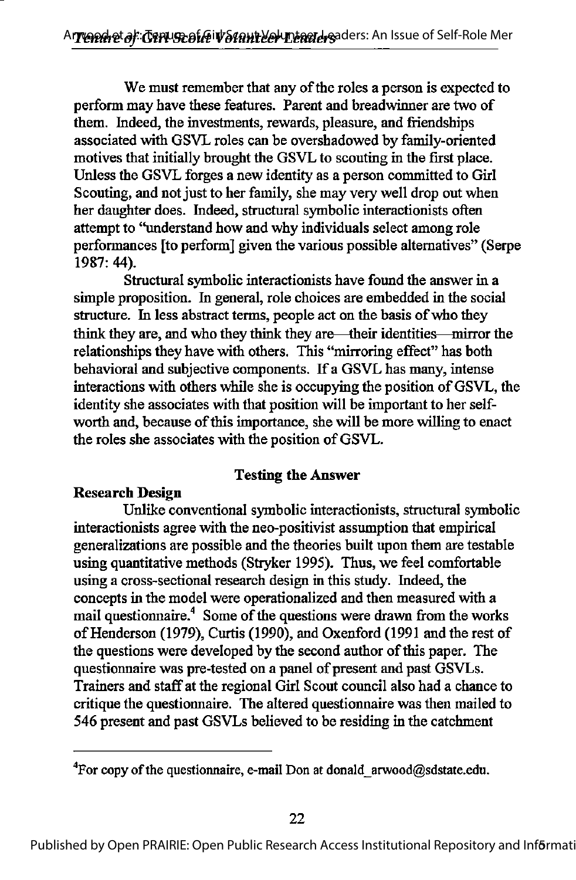We must remember that any of the roles a person is expected to perform may have these features. Parent and breadwinner are two of them. Indeed, the investments, rewards, pleasure, and friendships associated with GSVL roles can be overshadowed by family-oriented motives that initially brought the GSVL to scouting in the first place. Unless the GSVL forges a new identity as a person committed to Girl Scouting, and not just to her family, she may very well drop out when her daughter does. Indeed, structural symbolic interactionists often attempt to "understand how and why individuals select among role performances [to perform] given the various possible alternatives" (Serpe 1987: 44).

Structural symbolic interactionists have found the answer in a simple proposition. In general, role choices are embedded in the social structure. In less abstract terms, people act on the basis of who they think they are, and who they think they are—their identities—mirror the relationships they have with others. This "mirroring effect" has both behavioral and subjective components. If a GSVL has many, intense interactions with others while she is occupying the position of GSVL, the identity she associates with that position will be important to her selfworth and, because of this importance, she will be more willing to enact the roles she associates with the position of GSVL.

#### Testing the Answer

#### Research Design

Unlike conventional symbolic interactionists, structural symbolic interactionists agree with the neo-positivist assumption that empirical generalizations are possible and the theories built upon them are testable using quantitative methods (Stryker 1995). Thus, we feel comfortable using a cross-sectional research design in this study. Indeed, the concepts in the model were operationalized and then measured with a mail questionnaire.<sup>4</sup> Some of the questions were drawn from the works of Henderson (1979), Curtis (1990), and Oxenford (1991 and the rest of the questions were developed by the second author of this paper. The questionnaire was pre-tested on a panel of present and past GSVLs. Trainers and staff at the regional Girl Scout council also had a chance to critique the questionnaire. The altered questionnaire was then mailed to 546 present and past GSVLs believed to be residing in the catchment

<sup>&</sup>lt;sup>4</sup>For copy of the questionnaire, e-mail Don at donald arwood@sdstate.edu.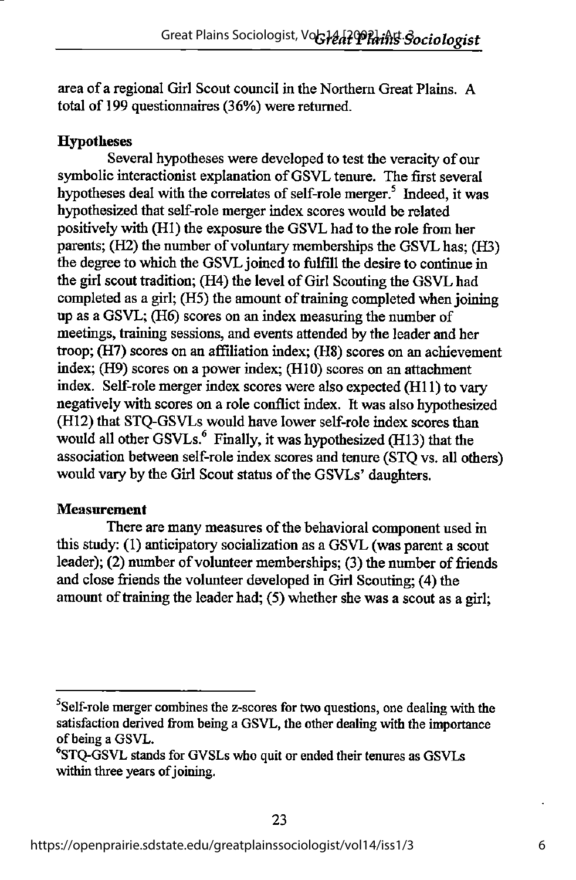area of a regional Girl Scout council in the Northern Great Plains. A total of 199 questionnaires (36%) were returned.

### **Hypotheses**

Several hypotheses were developed to test the veracity of our symbolic interactionist explanation of GSVL tenure. The first several hypotheses deal with the correlates of self-role merger.<sup>5</sup> Indeed, it was hypothesized that self-role merger index scores would be related positively with (HI) the exposure the GSVL had to the role from her parents; (H2) the number of voluntary memberships the GSVL has; (H3) the degree to which the GSVL joined to fulfill the desire to continue in the girl scout tradition; (H4) the level of Girl Scouting the GSVL had completed as a girl; (H5) the amount of training completed when joining up as a GSVL; (H6) scores on an index measuring the number of meetings, training sessions, and events attended by the leader and her troop; (H7) scores on an affiliation index; (H8) scores on an achievement index; (H9) scores on a power index; (HIO) scores on an attachment index. Self-role merger index scores were also expected (H11) to vary negatively with scores on a role conflict index. It was also hypothesized (HI2) that STQ-GSVLs would have lower self-role index scores than would all other GSVLs.<sup>6</sup> Finally, it was hypothesized (H13) that the association between self-role index scores and tenure (STQ vs. all others) would vary by the Girl Scout status of the GSVLs' daughters.

### Measurement

There are many measures of the behavioral component used in this study: (1) anticipatory socialization as a GSVL(was parent a scout leader); (2) number of volunteer memberships; (3) the number of friends and close friends the volunteer developed in Girl Scouting; (4) the amount of training the leader had;  $(5)$  whether she was a scout as a girl;

 $<sup>5</sup>$ Self-role merger combines the z-scores for two questions, one dealing with the</sup> satisfaction derived from being a GSVL, the other dealing with the importance of being a GSVL.

 $\textdegree$ STQ-GSVL stands for GVSLs who quit or ended their tenures as GSVLs within three years of joining.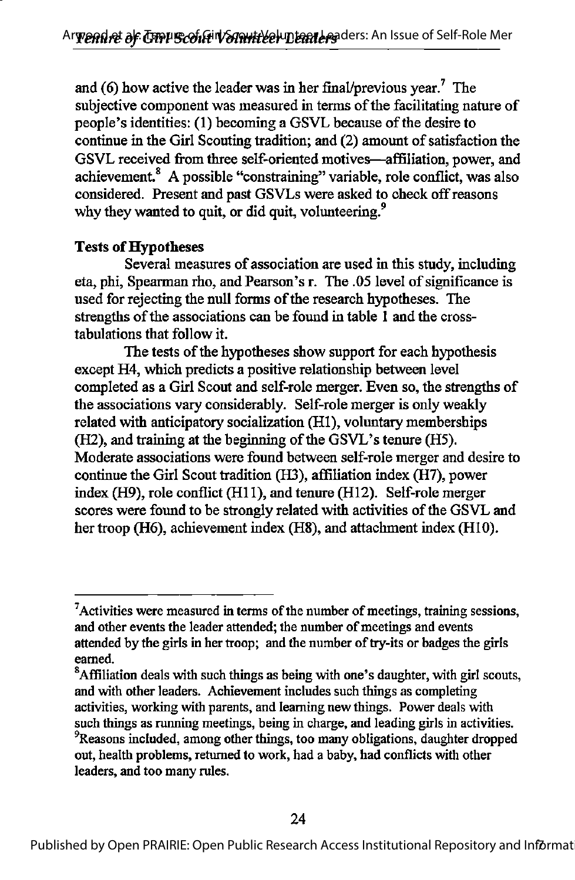and (6) how active the leader was in her final/previous year.<sup>7</sup> The subjective component was measured in terms of the facilitating nature of people's identities: (1) becoming a GSVL because of the desire to continue in the Girl Scouting tradition; and (2) amount of satisfaction the GSVL received from three self-oriented motives—affiliation, power, and achievement.<sup>8</sup> A possible "constraining" variable, role conflict, was also considered. Present and past GSVLs were asked to check offreasons why they wanted to quit, or did quit, volunteering. $9$ 

#### **Tests of Hypotheses**

Several measures of association are used in this study, including eta, phi. Spearman rho, and Pearson's r. The .05 level of significance is used for rejecting the null forms of the research hypotheses. The strengths of the associations can be found in table 1 and the crosstabulations that follow it.

The tests of the hypotheses show support for each hypothesis except H4, which predicts a positive relationship between level completed as a Girl Scout and self-role merger. Even so, the strengths of the associations vary considerably. Self-role merger is only weakly related with anticipatory socialization (HI), voluntary memberships  $(H2)$ , and training at the beginning of the GSVL's tenure  $(H5)$ . Moderate associations were found between self-role merger and desire to continue the Girl Scout tradition (H3), affiliation index (H7), power index (H9), role conflict (H11), and tenure (H12). Self-role merger scores were found to be strongly related with activities of the GSVL and her troop (H6), achievement index (H8), and attachment index (HIO).

 $<sup>7</sup>$ Activities were measured in terms of the number of meetings, training sessions,</sup> and other events the leader attended; the number of meetings and events attended by the girls in her troop; and the number of try-its or badges the girls eamed.

 ${}^{8}$ Affiliation deals with such things as being with one's daughter, with girl scouts, and with other leaders. Achievement includes such things as completing activities, working with parents, and leaming new things. Power deals with such things as running meetings, being in charge, and leading girls in activities. <sup>9</sup>Reasons included, among other things, too many obligations, daughter dropped out, health problems, returned to work, had a baby, had conflicts with other leaders, and too many rules.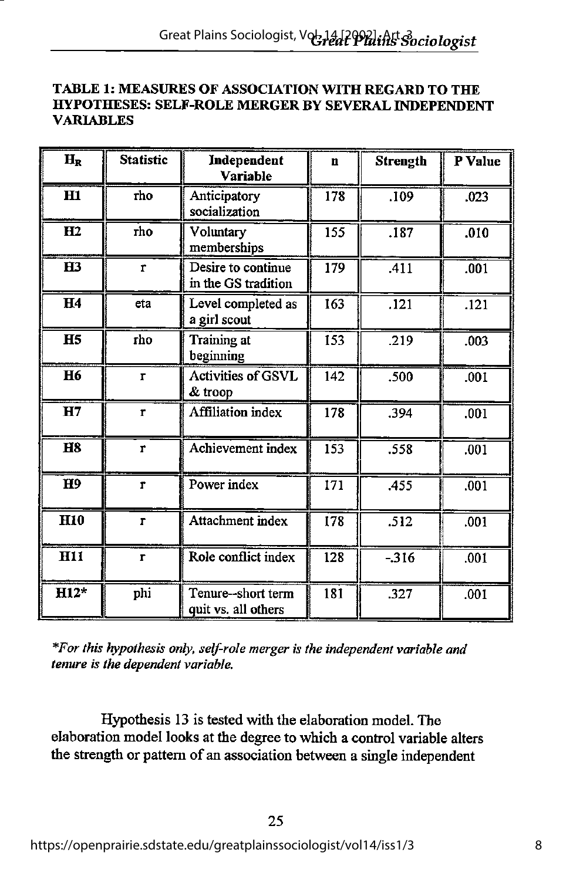#### TABLE 1: MEASURES OF ASSOCIATION WITH REGARD TO THE HYPOTHESES: SELF-ROLE MERGER BY SEVERAL INDEPENDENT **VARIABLES**

| $H_R$          | <b>Statistic</b> | Independent<br>Variable                   | $\mathbf n$ | <b>Strength</b> | P Value           |
|----------------|------------------|-------------------------------------------|-------------|-----------------|-------------------|
| H1             | rho              | Anticipatory<br>socialization             | 178         | .109            | .023              |
| H2             | rho              | Voluntary<br>memberships                  | 155         | .187            | .010              |
| $\mathbf{H}$   | $\mathbf r$      | Desire to continue<br>in the GS tradition | 179         | .411            | .001              |
| H4             | eta              | Level completed as<br>a girl scout        | 163         | .121            | $\overline{.121}$ |
| H <sub>5</sub> | rho              | Training at<br>beginning                  | 153         | .219            | .003              |
| <b>H6</b>      | $\mathbf{r}$     | <b>Activities of GSVL</b><br>& troop      | 142         | .500            | .001              |
| H7             | $\mathbf{r}$     | <b>Affiliation</b> index                  | 178         | .394            | .001              |
| <b>H8</b>      | r                | Achievement index                         | 153         | .558            | .001              |
| H <sub>9</sub> | $\mathbf{r}$     | Power index                               | 171         | .455            | .001              |
| <b>H10</b>     | r                | Attachment index                          | 178         | .512            | .001              |
| <b>H11</b>     | r                | Role conflict index                       | 128         | $-316$          | .001              |
| $H12*$         | phi              | Tenure--short term<br>quit vs. all others | 181         | .327            | .001              |

\*For this hypothesis only, self-role merger is the independent variable and tenure is the dependent variable.

Hypothesis 13 is tested with the elaboration model. The elaboration model looks at the degree to which a control variable alters the strength or pattern of an association between a single independent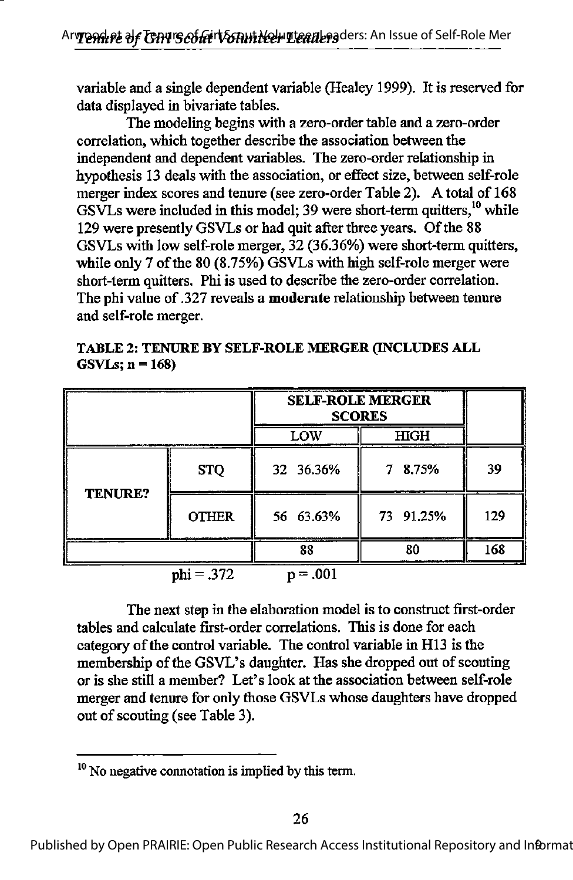variable and a single dependent variable (Healey 1999). It is reserved for data displayed in bivariate tables.

The modeling begins with a zero-order table and a zero-order correlation, which together describe the association between the independent and dependent variables. The zero-order relationship in hypothesis 13 deals with the association, or effect size, between self-role merger index scores and tenure (see zero-order Table 2). A total of 168 GSVLs were included in this model; 39 were short-term quitters,  $^{10}$  while 129 were presently GSVLs or had quit after three years. Of the 88 GSVLs with low self-role merger, 32 (36.36%) were short-term quitters, while only 7 of the 80 (8.75%) GSVLs with high self-role merger were short-term quitters. Phi is used to describe the zero-order correlation. The phi value of .327 reveals a moderate relationship between tenure and self-role merger.

TABLE 2: TENURE BY SELF-ROLE MERGER (INCLUDES ALL  $GSVLs$ ;  $n = 168$ )

|                |              | <b>SELF-ROLE MERGER</b><br><b>SCORES</b> |            |     |
|----------------|--------------|------------------------------------------|------------|-----|
|                |              | LOW                                      | HIGH       |     |
|                | <b>STQ</b>   | 32 36.36%                                | 8.75%<br>7 | 39  |
| <b>TENURE?</b> | <b>OTHER</b> | 56 63.63%                                | 73 91.25%  | 129 |
|                |              | 88                                       | 80         | 168 |
|                | $phi = .372$ | $=.001$<br>n                             |            |     |

The next step in the elaboration model is to construct first-order tables and calculate first-order correlations. This is done for each category of the control variable. The control variable in H13 is the membership of the GSVL's daughter. Has she dropped out of scouting or is she still a member? Let's look at the association between self-role merger and tenure for only those GSVLs whose daughters have dropped out of scouting (see Table 3).

 $10$  No negative connotation is implied by this term.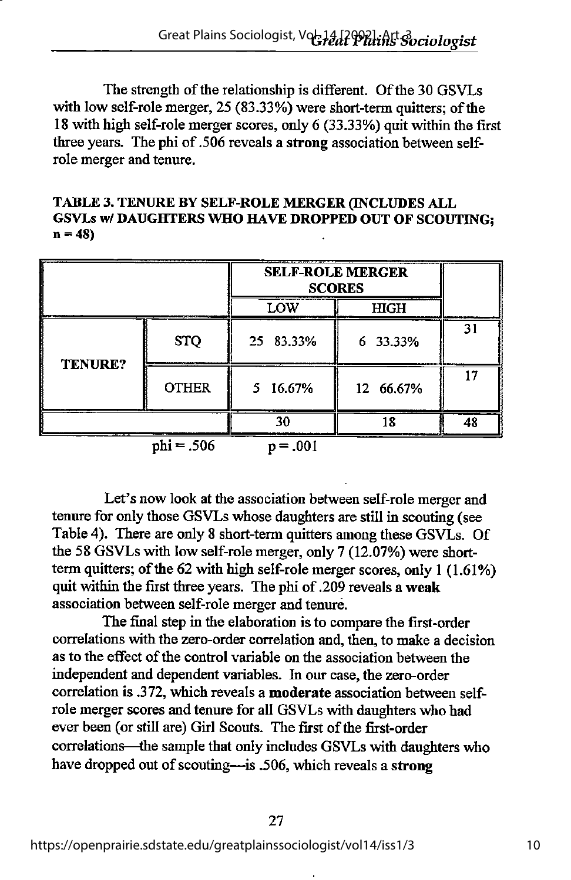The strength of the relationship is different. Of the 30 GSVLs with low self-role merger,  $25(83.33%)$  were short-term quitters; of the 18 with high self-role merger scores, only 6 (33.33%) quit within the first three years. The phi of.506 reveals a strong association between selfrole merger and tenure.

TABLE 3. TENURE BY SELF-ROLE MERGER (INCLUDES ALL GSVLs w/ DAUGHTERS WHO HAVE DROPPED OUT OF SCOUTING;  $n = 48$ 

|                |              | <b>SELF-ROLE MERGER</b><br><b>SCORES</b> |             |    |
|----------------|--------------|------------------------------------------|-------------|----|
|                |              | LOW                                      | <b>HIGH</b> |    |
|                | <b>STQ</b>   | 25 83.33%                                | 6 33.33%    | 31 |
| <b>TENURE?</b> | <b>OTHER</b> | 5 16.67%                                 | 12 66.67%   |    |
|                |              |                                          |             | 48 |

phi = .506 p = .001

Let's now look at the association between self-role merger and tenure for only those GSVLs whose daughters are still in scouting (see Table 4). There are only 8 short-term quitters among these GSVLs. Of the 58 GSVLs with low self-role merger, only 7 (12.07%) were shortterm quitters; of the 62 with high self-role merger scores, only 1 (1.61%) quit within the first three years. The phi of.209 reveals a weak association between self-role merger and tenure.

The final step in the elaboration is to compare the first-order correlations with the zero-order correlation and, then, to make a decision as to the effect of the control variable on the association between the independent and dependent variables. Li our case, the zero-order correlation is .372, which reveals a moderate association between selfrole merger scores and tenure for all GSVLs with daughters who had ever been (or still are) Girl Scouts. The first of the first-order correlations—the sample that only includes GSVLs with daughters who have dropped out of scouting—is .506, which reveals a strong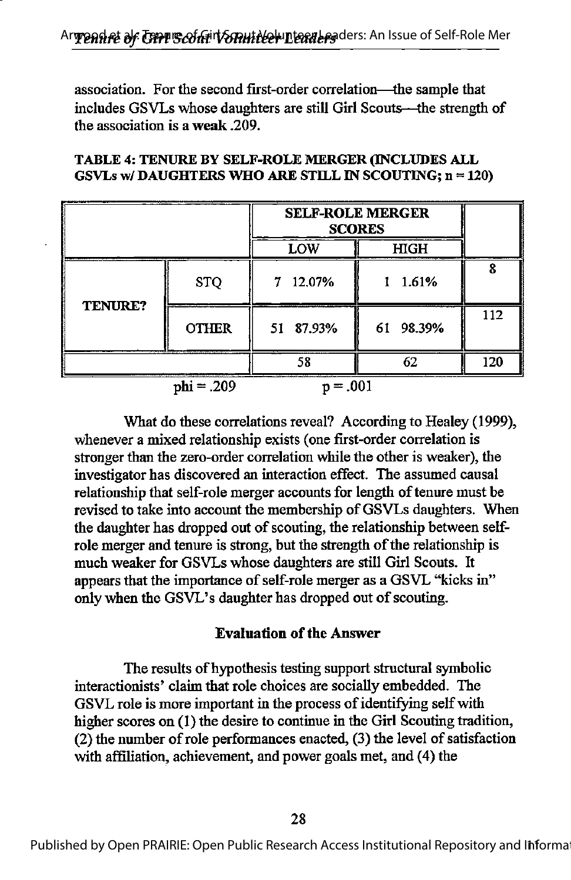association. For the second first-order correlation—die sample that includes GSVLs whose daughters are still Girl Scouts—the strength of the association is a weak .209.

|              |              | <b>SELF-ROLE MERGER</b><br><b>SCORES</b> |           |     |
|--------------|--------------|------------------------------------------|-----------|-----|
|              |              | LOW                                      | HIGH      |     |
|              | <b>STQ</b>   | 7 12.07%                                 | 1.61%     | Q   |
| TENURE?      | <b>OTHER</b> | 51 87.93%                                | 61 98.39% | 112 |
|              |              | 58                                       | 62        | 120 |
| $phi = .209$ |              | = .001                                   |           |     |

#### TABLE 4: TENURE BY SELF-ROLE MERGER (INCLUDES ALL GSVLs w/ DAUGHTERS WHO ARE STILL IN SCOUTING;  $n = 120$ )

What do these correlations reveal? According to Healey (1999), whenever a mixed relationship exists (one first-order correlation is stronger than the zero-order correlation while the other is weaker), the investigator has discovered an interaction effect. The assumed causal relationship that self-role merger accounts for length of tenure must be revised to take into account the membership of GSVLs daughters. When the daughter has dropped out of scouting, the relationship between selfrole merger and tenure is strong, but the strength of the relationship is much weaker for GSVLs whose daughters are still Girl Scouts. It appears that the importance of self-role merger as a GSVL "kicks in" only when the GSVL's daughter has dropped out of scouting.

#### **Evaluation of the Answer**

The results of hypothesis testing support structural symbolic interactionists' claim that role choices are socially embedded. The GSVL role is more important in the process of identifying self with higher scores on (1) the desire to continue in the Girl Scouting tradition,  $(2)$  the number of role performances enacted,  $(3)$  the level of satisfaction with affiliation, achievement, and power goals met, and (4) the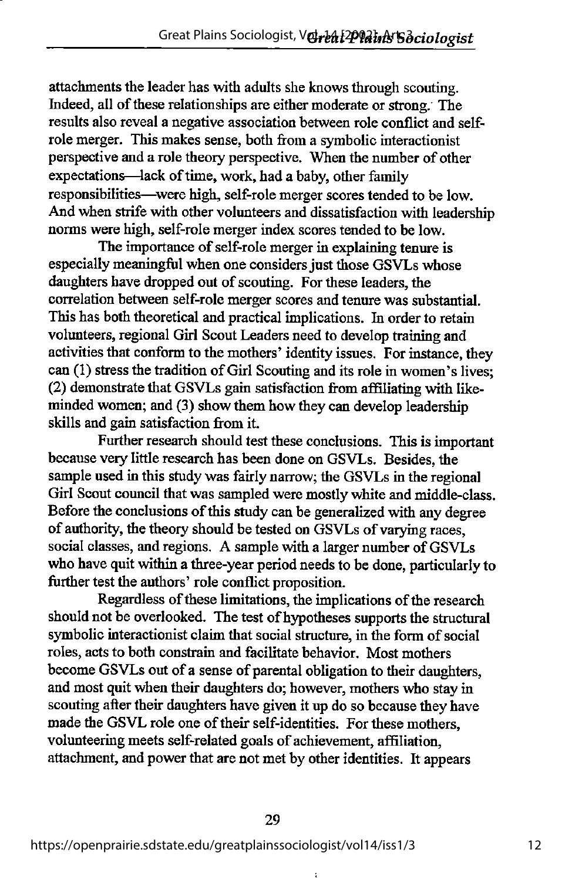attachments the leader has with adults she knows through scouting. Indeed, all of these relationships are either moderate or strong. The results also reveal a negative association between role conflict and selfrole merger. This makes sense, both from a symbolic interactionist perspective and a role theory perspective. When the number of other expectations—lack of time, work, had a baby, other family responsibilities—were high, self-role merger scores tended to be low. And when strife with other volunteers and dissatisfaction with leadership norms were high, self-roIe merger index scores tended to be low.

The importance of self-role merger in explaining tenure is especially meaningful when one considers just those GSVLs whose daughters have dropped out of scouting. For these leaders, the correlation between self-role merger scores and tenure was substantial. This has both theoretical and practical implications. In order to retain volunteers, regional Girl Scout Leaders need to develop training and activities that conform to the mothers' identity issues. For instance, they can (1) stress the tradition of Girl Scouting and its role in women's lives; (2) demonstrate that GSVLs gain satisfaction from affiliating with likeminded women; and (3) show them how they can develop leadership skills and gain satisfaction from it.

Further research should test these conclusions. This is important because very little research has been done on GSVLs. Besides, the sample used in this study was fairly narrow; the GSVLs in the regional Girl Scout council that was sampled were mostly white and middle-class. Before the conclusions of this study can be generalized with any degree of authority, the theory should be tested on GSVLs of varying races, social classes, and regions. A sample with a larger number of GSVLs who have quit within a three-year period needs to be done, particularly to further test the authors' role conflict proposition.

Regardless of these limitations, the implications of the research should not be overlooked. The test of hypotheses supports the structural symbolic interactionist claim that social structure, in the form of social roles, acts to both constrain and facilitate behavior. Most mothers become GSVLs out of a sense of parental obligation to their daughters, and most quit when their daughters do; however, mothers who stay in scouting after their daughters have given it up do so because they have made the GSVL role one of their self-identities. For these mothers, volunteering meets self-related goals of achievement, affiliation, attachment, and power that are not met by other identities. It appears

t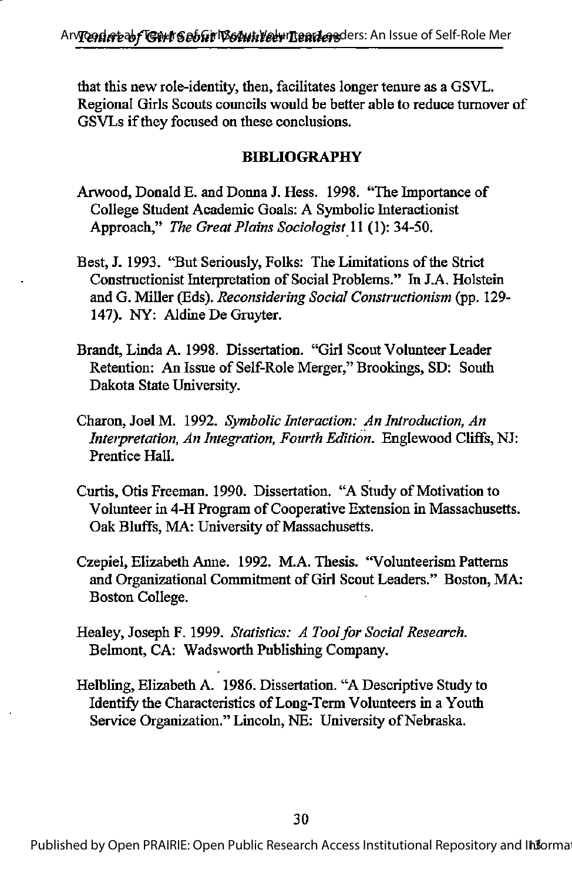that this new role-identity, then, facilitates longer tenure as a GSVL. Regional Girls Scouts councils would be better able to reduce turnover of GSVLs if they focused on these conclusions.

#### BIBLIOGRAPHY

- Arwood, Donald E. and Donna J. Hess. 1998. "The Importance of College Student Academic Goals: A Symbolic Interactionist Approach," The Great Plains Sociologist 11 (1): 34-50.
- Best, J. 1993. "But Seriously, Folks: The Limitations of the Strict Constructionist Interpretation of Social Problems." In J.A. Holstein and G. Miller (Eds). Reconsidering Social Constructionism (pp. 129- 147). NY: Aldine De Gruyter.
- Brandt, Linda A. 1998. Dissertation. "Girl Scout Volunteer Leader Retention: An Issue of Self-Role Merger," Brookings, SD: South Dakota State University.
- Charon, Joel M. 1992. Symbolic Interaction: An Introduction, An Interpretation, An Integration, Fourth Edition. Englewood Cliffs, NJ: Prentice Hall.
- Curtis, Otis Freeman. 1990. Dissertation. "A Study of Motivation to Volunteer in 4-H Program of Cooperative Extension in Massachusetts. Oak Bluffs, MA: University of Massachusetts.
- Czepiel, Elizabeth Anne. 1992. M.A. Thesis. "Volunteerism Patterns and Organizational Commitment of Girl Scout Leaders." Boston, MA: Boston College.
- Healey, Joseph F. 1999. Statistics: A Tool for Social Research. Belmont, CA: Wadsworth Publishing Company.
- Helbling, Elizabeth A. 1986. Dissertation. "A Descriptive Study to Identify the Characteristics of Long-Term Volunteers in a Youth Service Organization." Lincoln, NE: University of Nebraska.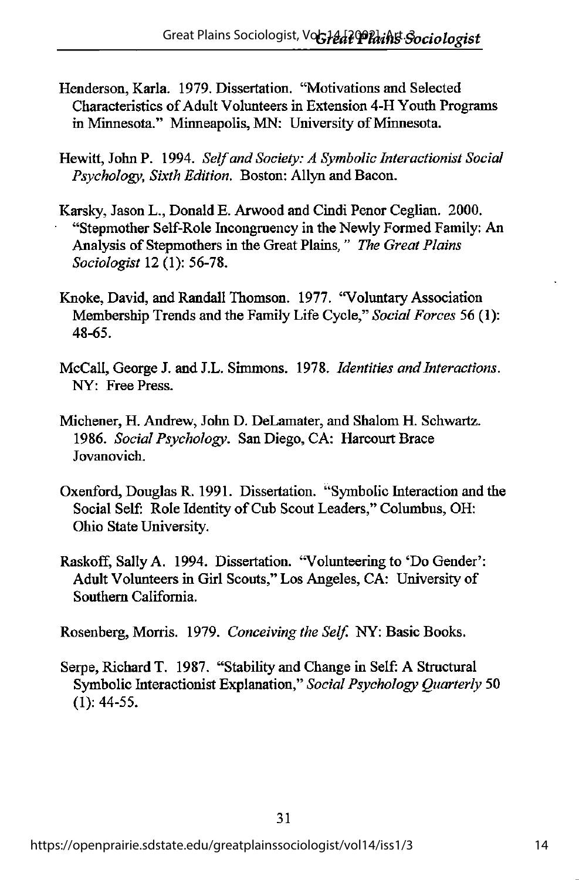- Henderson, Karla. 1979. Dissertation. "Motivations and Selected Characteristics of Adult Volunteers in Extension 4-H Youth Programs in Minnesota." Minneapolis, MN: University of Minnesota.
- Hewitt, John P. 1994. Self and Society: A Symbolic Interactionist Social Psychology, Sixth Edition. Boston: Allyn and Bacon.
- Karsky, Jason L., Donald E. Arwood and Cindi Penor Ceglian. 2000. "Stepmother Self-Role Incongruency in the Newly Formed Family: An Analysis of Stepmothers in the Great Plains," The Great Plains Sociologist 12 (1): 56-78.
- Knoke, David, and Randall Thomson. 1977. "Voluntary Association Membership Trends and the Family Life Cycle," Social Forces 56 (1): 48-65.
- McCall, George J. and J.L. Simmons. 1978. Identities and Interactions. NY: Free Press.
- Michener, H. Andrew, John D. DeLamater, and Shalom H. Schwartz. 1986. Social Psychology. San Diego, CA: Harcourt Brace Jovanovich.
- Oxenford, Douglas R. 1991. Dissertation. "Symbolic Interaction and the Social Self: Role Identity of Cub Scout Leaders," Columbus, OH: Ohio State University.
- Raskoff, Sally A. 1994. Dissertation. "Volunteering to \*Do Gender': Adult Volunteers in Girl Scouts," Los Angeles, CA: University of Southern California.

Rosenberg, Morris. 1979. Conceiving the Self. NY: Basic Books.

Serpe, Richard T. 1987. "Stability and Change in Self: A Structural Symbolic Interactionist Explanation," Social Psychology Quarterly 50 (1): 44.55.